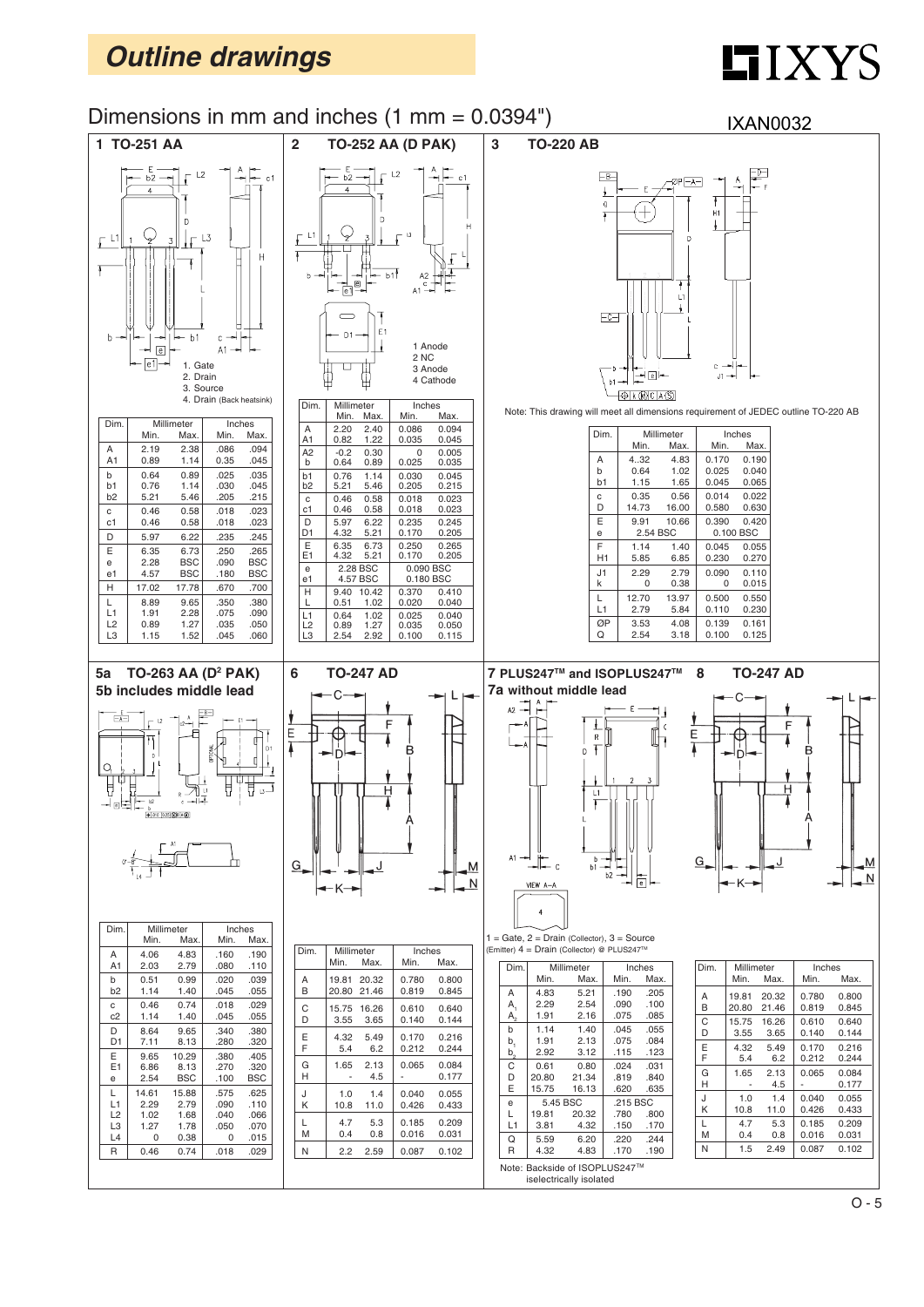# $LIXYZS$



 $O - 5$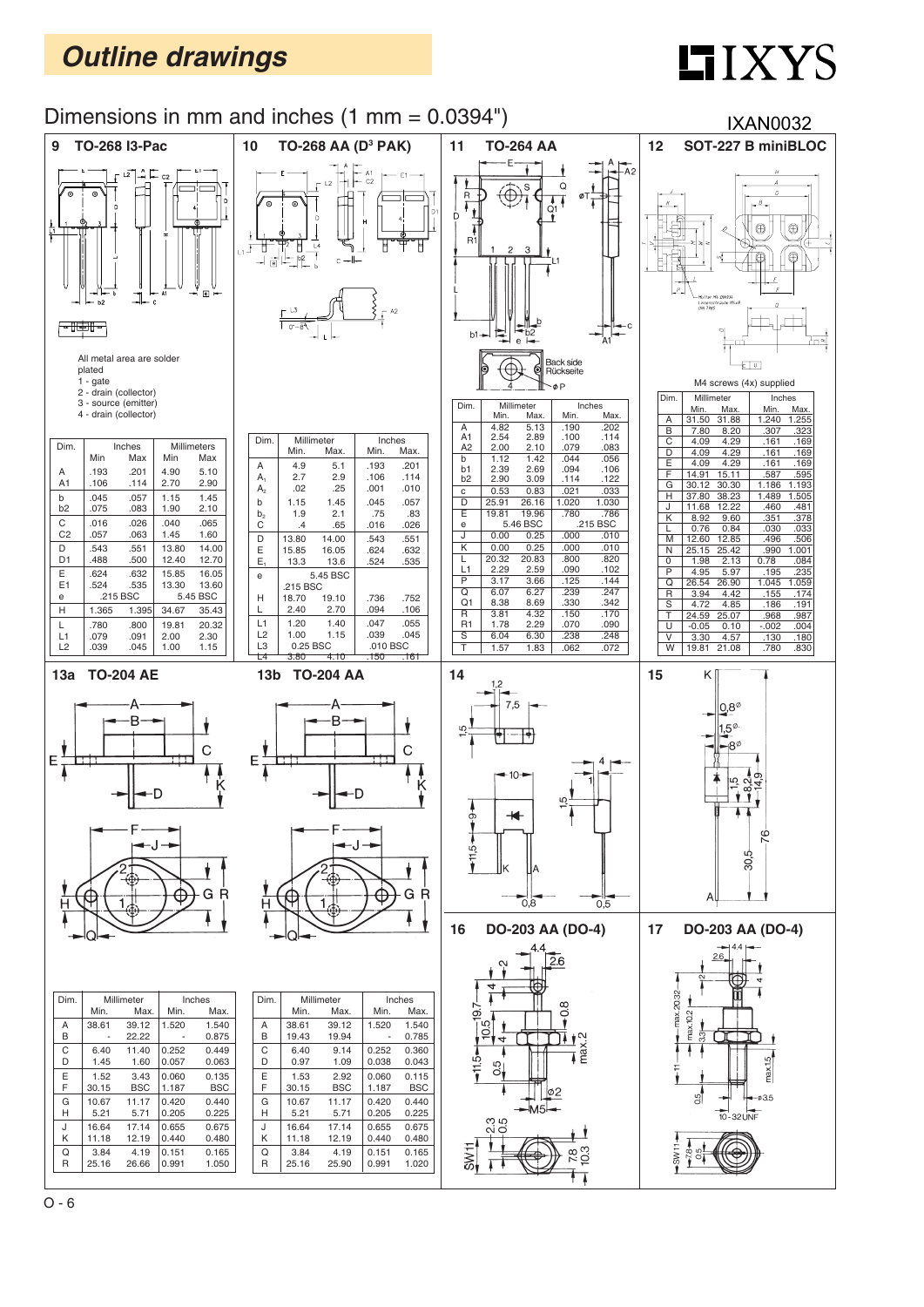## **LIXYS**

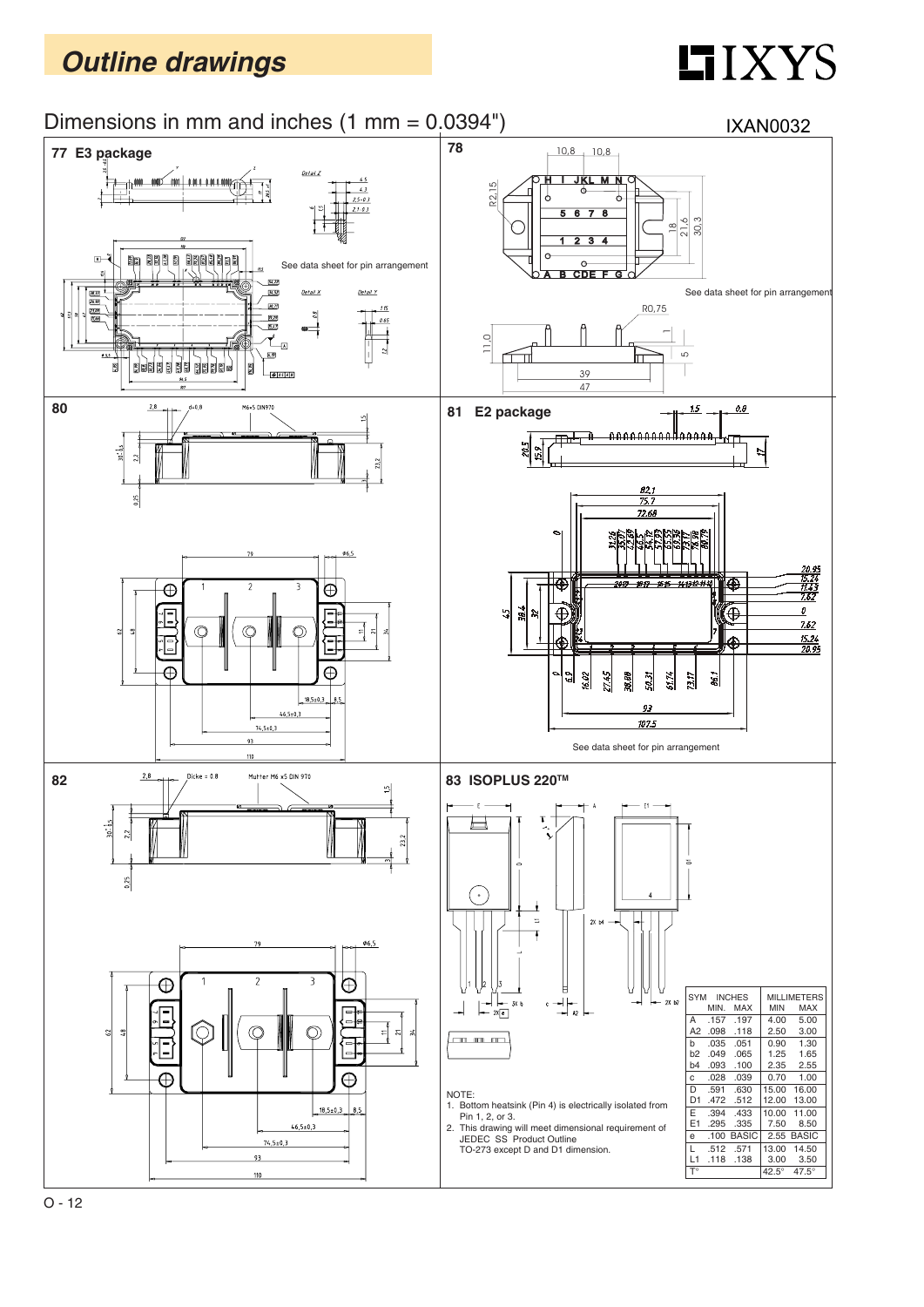# $II$ *XYS*

#### Dimensions in mm and inches (1 mm = 0.0394")

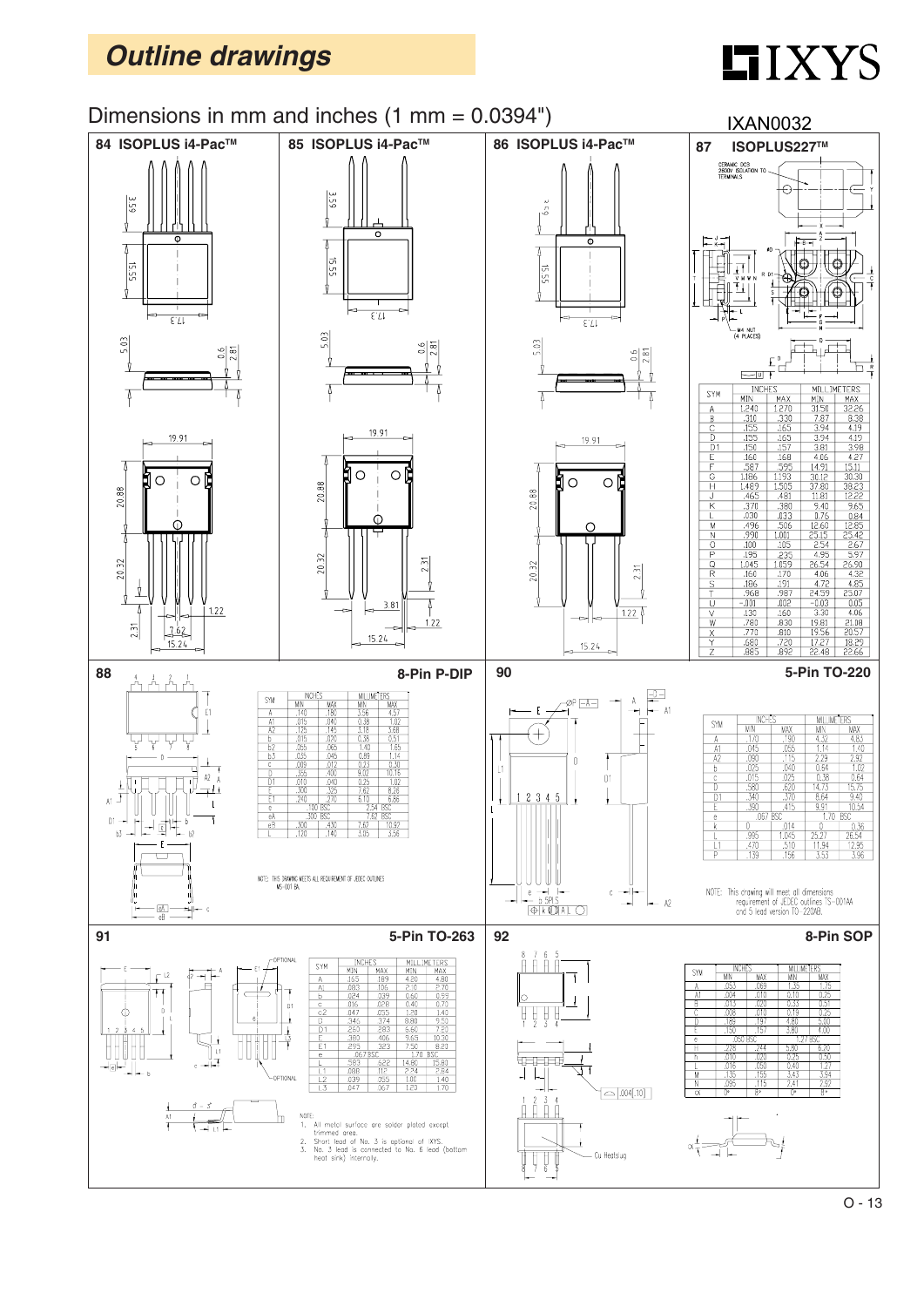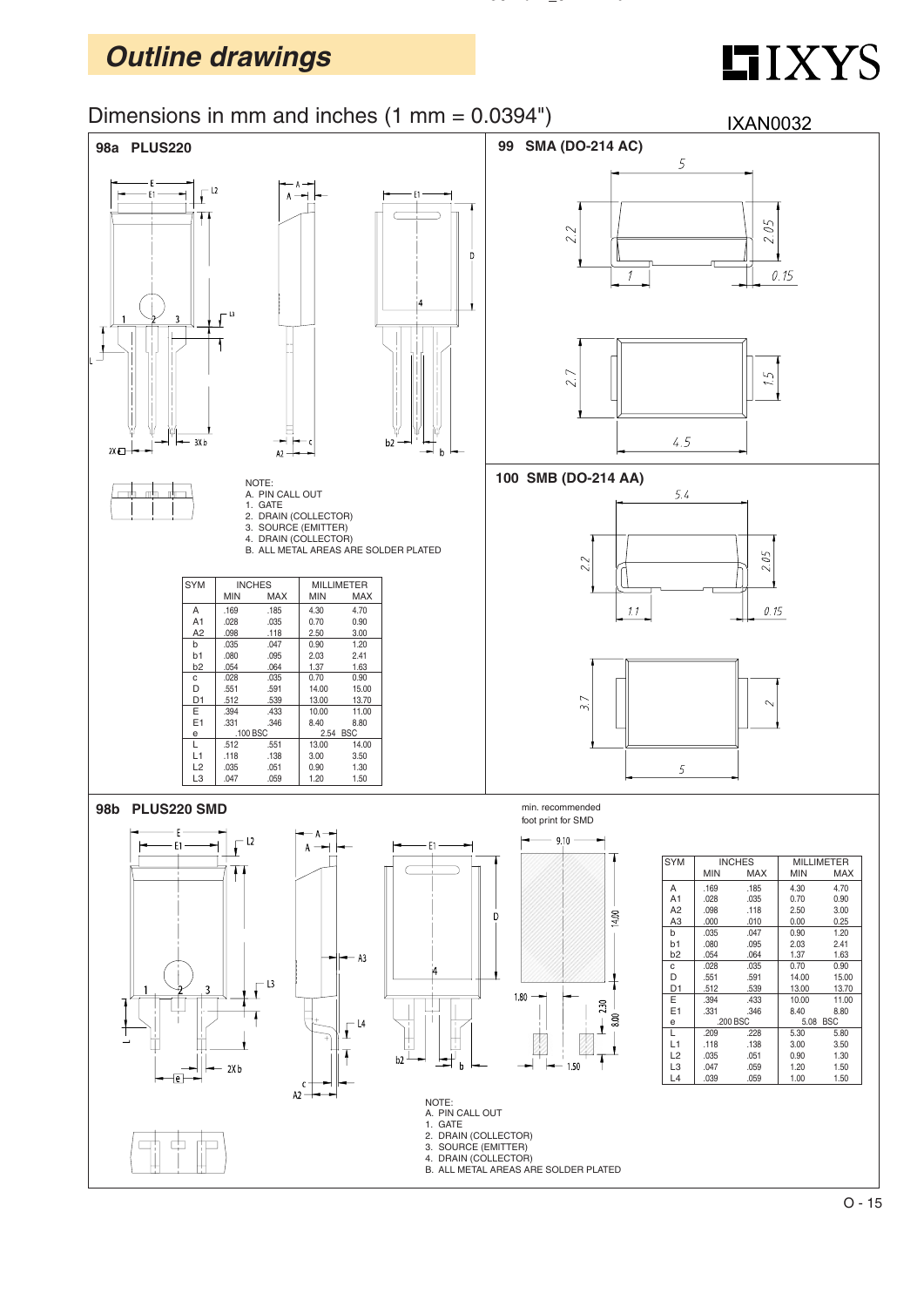# $LIXYZ$



**PLUS220LV\_SMD.DWG**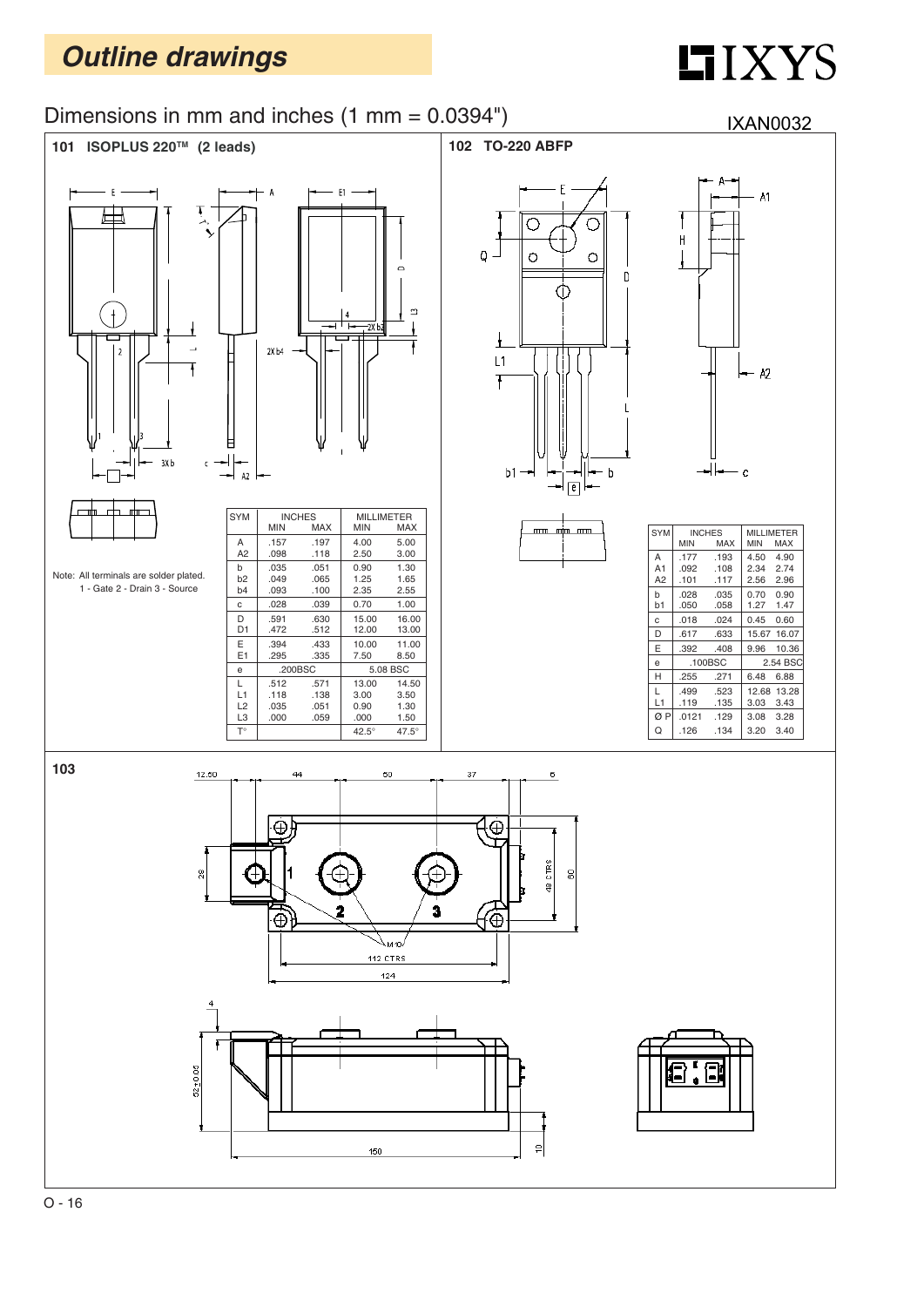# **HIXYS**

#### Dimensions in mm and inches (1 mm = 0.0394")